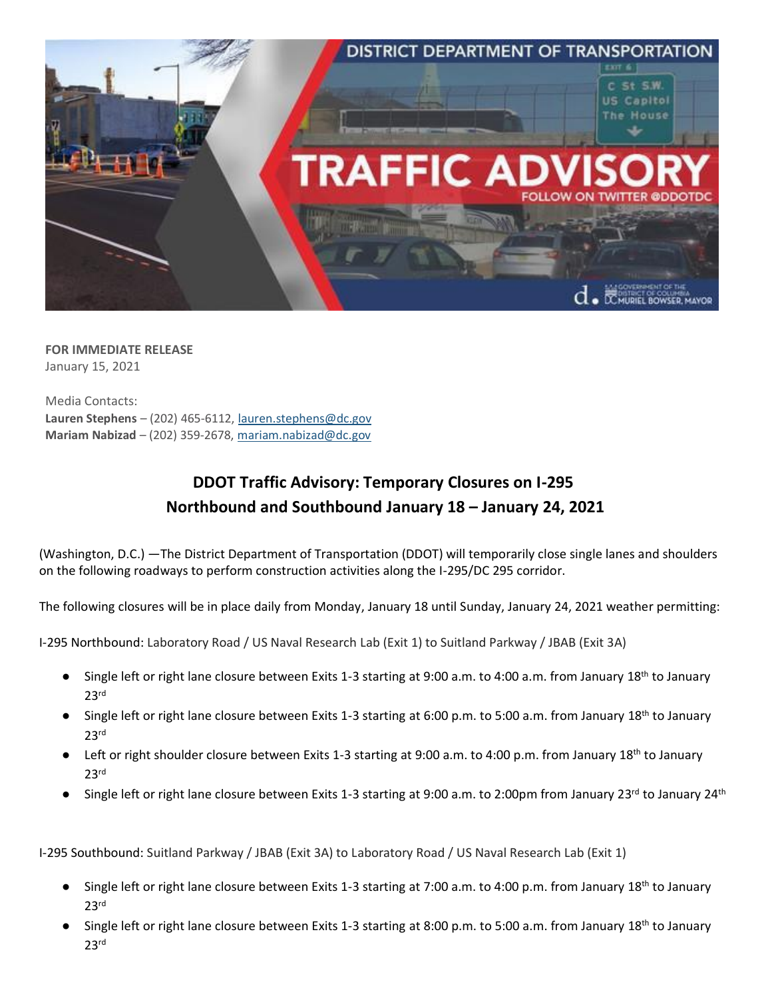

**FOR IMMEDIATE RELEASE** January 15, 2021

Media Contacts: **Lauren Stephens** – (202) 465-6112[, lauren.stephens@dc.gov](mailto:lauren.stephens@dc.gov) **Mariam Nabizad** – (202) 359-2678, [mariam.nabizad@dc.gov](mailto:mariam.nabizad@dc.gov)

## **DDOT Traffic Advisory: Temporary Closures on I-295 Northbound and Southbound January 18 – January 24, 2021**

(Washington, D.C.) —The District Department of Transportation (DDOT) will temporarily close single lanes and shoulders on the following roadways to perform construction activities along the I-295/DC 295 corridor.

The following closures will be in place daily from Monday, January 18 until Sunday, January 24, 2021 weather permitting:

I-295 Northbound: Laboratory Road / US Naval Research Lab (Exit 1) to Suitland Parkway / JBAB (Exit 3A)

- Single left or right lane closure between Exits 1-3 starting at 9:00 a.m. to 4:00 a.m. from January 18<sup>th</sup> to January 23rd
- Single left or right lane closure between Exits 1-3 starting at 6:00 p.m. to 5:00 a.m. from January 18<sup>th</sup> to January 23rd
- Left or right shoulder closure between Exits 1-3 starting at 9:00 a.m. to 4:00 p.m. from January 18<sup>th</sup> to January 23rd
- Single left or right lane closure between Exits 1-3 starting at 9:00 a.m. to 2:00pm from January 23<sup>rd</sup> to January 24<sup>th</sup>

I-295 Southbound: Suitland Parkway / JBAB (Exit 3A) to Laboratory Road / US Naval Research Lab (Exit 1)

- Single left or right lane closure between Exits 1-3 starting at 7:00 a.m. to 4:00 p.m. from January 18<sup>th</sup> to January 23rd
- Single left or right lane closure between Exits 1-3 starting at 8:00 p.m. to 5:00 a.m. from January 18<sup>th</sup> to January 23rd